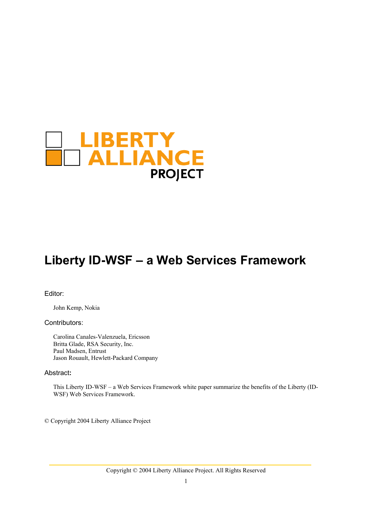

# **Liberty ID-WSF – a Web Services Framework**

Editor:

John Kemp, Nokia

#### Contributors:

Carolina Canales-Valenzuela, Ericsson Britta Glade, RSA Security, Inc. Paul Madsen, Entrust Jason Rouault, Hewlett-Packard Company

#### Abstract**:**

This Liberty ID-WSF – a Web Services Framework white paper summarize the benefits of the Liberty (ID-WSF) Web Services Framework.

© Copyright 2004 Liberty Alliance Project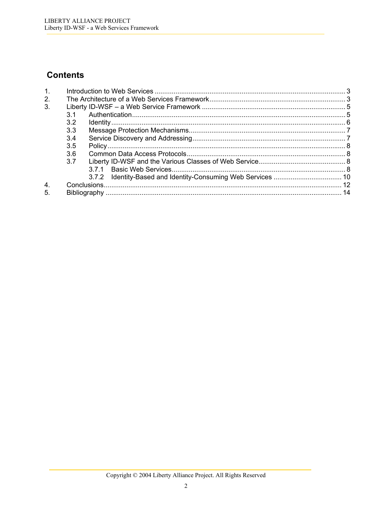## **Contents**

| 1 <sub>1</sub>   |     |       |  |
|------------------|-----|-------|--|
| 2.               |     |       |  |
| 3.               |     |       |  |
|                  | 3.1 |       |  |
|                  | 3.2 |       |  |
|                  | 3.3 |       |  |
|                  | 3.4 |       |  |
|                  | 3.5 |       |  |
|                  | 3.6 |       |  |
|                  | 3.7 |       |  |
|                  |     |       |  |
|                  |     | 3.7.2 |  |
| $\overline{4}$ . |     |       |  |
| 5.               |     |       |  |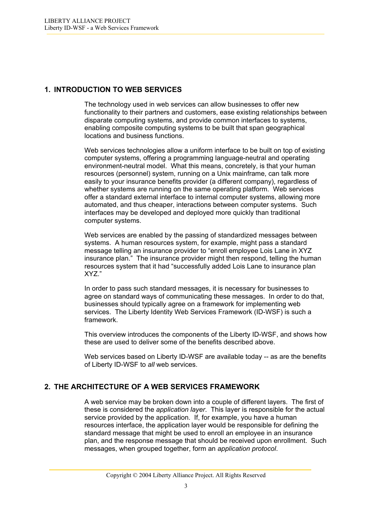## <span id="page-2-0"></span>**1. INTRODUCTION TO WEB SERVICES**

The technology used in web services can allow businesses to offer new functionality to their partners and customers, ease existing relationships between disparate computing systems, and provide common interfaces to systems, enabling composite computing systems to be built that span geographical locations and business functions.

Web services technologies allow a uniform interface to be built on top of existing computer systems, offering a programming language-neutral and operating environment-neutral model. What this means, concretely, is that your human resources (personnel) system, running on a Unix mainframe, can talk more easily to your insurance benefits provider (a different company), regardless of whether systems are running on the same operating platform. Web services offer a standard external interface to internal computer systems, allowing more automated, and thus cheaper, interactions between computer systems. Such interfaces may be developed and deployed more quickly than traditional computer systems.

Web services are enabled by the passing of standardized messages between systems. A human resources system, for example, might pass a standard message telling an insurance provider to "enroll employee Lois Lane in XYZ insurance plan." The insurance provider might then respond, telling the human resources system that it had "successfully added Lois Lane to insurance plan XYZ."

In order to pass such standard messages, it is necessary for businesses to agree on standard ways of communicating these messages. In order to do that, businesses should typically agree on a framework for implementing web services. The Liberty Identity Web Services Framework (ID-WSF) is such a framework.

This overview introduces the components of the Liberty ID-WSF, and shows how these are used to deliver some of the benefits described above.

Web services based on Liberty ID-WSF are available today -- as are the benefits of Liberty ID-WSF to *all* web services.

## **2. THE ARCHITECTURE OF A WEB SERVICES FRAMEWORK**

A web service may be broken down into a couple of different layers. The first of these is considered the *application layer*. This layer is responsible for the actual service provided by the application. If, for example, you have a human resources interface, the application layer would be responsible for defining the standard message that might be used to enroll an employee in an insurance plan, and the response message that should be received upon enrollment. Such messages, when grouped together, form an *application protocol*.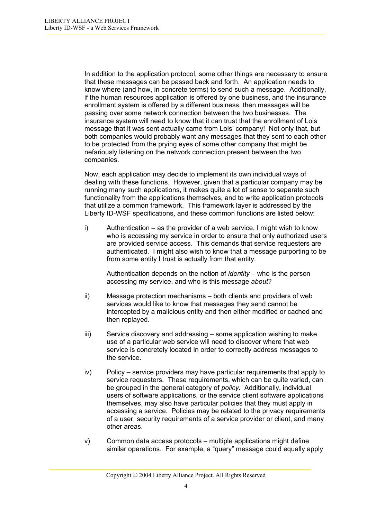In addition to the application protocol, some other things are necessary to ensure that these messages can be passed back and forth. An application needs to know where (and how, in concrete terms) to send such a message. Additionally, if the human resources application is offered by one business, and the insurance enrollment system is offered by a different business, then messages will be passing over some network connection between the two businesses. The insurance system will need to know that it can trust that the enrollment of Lois message that it was sent actually came from Lois' company! Not only that, but both companies would probably want any messages that they sent to each other to be protected from the prying eyes of some other company that might be nefariously listening on the network connection present between the two companies.

Now, each application may decide to implement its own individual ways of dealing with these functions. However, given that a particular company may be running many such applications, it makes quite a lot of sense to separate such functionality from the applications themselves, and to write application protocols that utilize a common framework. This framework layer is addressed by the Liberty ID-WSF specifications, and these common functions are listed below:

i) Authentication – as the provider of a web service, I might wish to know who is accessing my service in order to ensure that only authorized users are provided service access. This demands that service requesters are authenticated. I might also wish to know that a message purporting to be from some entity I trust is actually from that entity.

Authentication depends on the notion of *identity* – who is the person accessing my service, and who is this message *about*?

- ii) Message protection mechanisms both clients and providers of web services would like to know that messages they send cannot be intercepted by a malicious entity and then either modified or cached and then replayed.
- iii) Service discovery and addressing some application wishing to make use of a particular web service will need to discover where that web service is concretely located in order to correctly address messages to the service.
- iv) Policy service providers may have particular requirements that apply to service requesters. These requirements, which can be quite varied, can be grouped in the general category of *policy*. Additionally, individual users of software applications, or the service client software applications themselves, may also have particular policies that they must apply in accessing a service. Policies may be related to the privacy requirements of a user, security requirements of a service provider or client, and many other areas.
- v) Common data access protocols multiple applications might define similar operations. For example, a "query" message could equally apply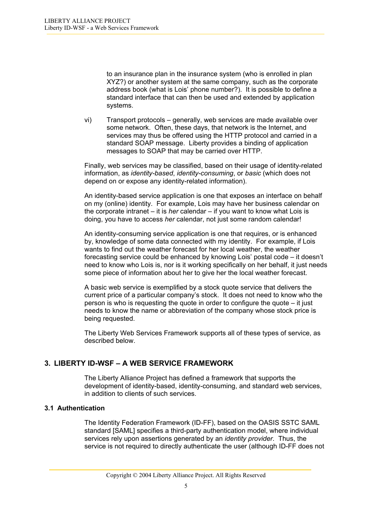<span id="page-4-0"></span>to an insurance plan in the insurance system (who is enrolled in plan XYZ?) or another system at the same company, such as the corporate address book (what is Lois' phone number?). It is possible to define a standard interface that can then be used and extended by application systems.

vi) Transport protocols – generally, web services are made available over some network. Often, these days, that network is the Internet, and services may thus be offered using the HTTP protocol and carried in a standard SOAP message. Liberty provides a binding of application messages to SOAP that may be carried over HTTP.

Finally, web services may be classified, based on their usage of identity-related information, as *identity-based*, *identity-consuming*, or *basic* (which does not depend on or expose any identity-related information).

An identity-based service application is one that exposes an interface on behalf on my (online) identity. For example, Lois may have her business calendar on the corporate intranet – it is *her* calendar – if you want to know what Lois is doing, you have to access *her* calendar, not just some random calendar!

An identity-consuming service application is one that requires, or is enhanced by, knowledge of some data connected with my identity. For example, if Lois wants to find out the weather forecast for her local weather, the weather forecasting service could be enhanced by knowing Lois' postal code – it doesn't need to know who Lois is, nor is it working specifically on her behalf, it just needs some piece of information about her to give her the local weather forecast.

A basic web service is exemplified by a stock quote service that delivers the current price of a particular company's stock. It does not need to know who the person is who is requesting the quote in order to configure the quote – it just needs to know the name or abbreviation of the company whose stock price is being requested.

The Liberty Web Services Framework supports all of these types of service, as described below.

## **3. LIBERTY ID-WSF – A WEB SERVICE FRAMEWORK**

The Liberty Alliance Project has defined a framework that supports the development of identity-based, identity-consuming, and standard web services, in addition to clients of such services.

#### **3.1 Authentication**

The Identity Federation Framework (ID-FF), based on the OASIS SSTC SAML standard [SAML] specifies a third-party authentication model, where individual services rely upon assertions generated by an *identity provider*. Thus, the service is not required to directly authenticate the user (although ID-FF does not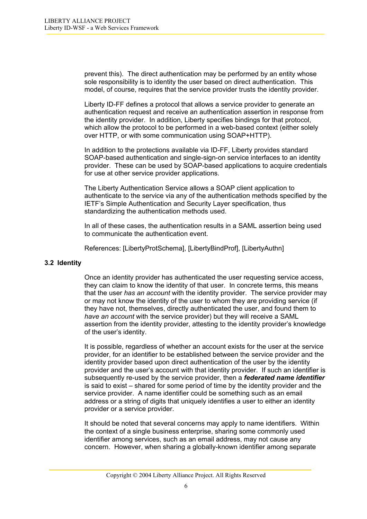<span id="page-5-0"></span>prevent this). The direct authentication may be performed by an entity whose sole responsibility is to identity the user based on direct authentication. This model, of course, requires that the service provider trusts the identity provider.

Liberty ID-FF defines a protocol that allows a service provider to generate an authentication request and receive an authentication assertion in response from the identity provider. In addition, Liberty specifies bindings for that protocol, which allow the protocol to be performed in a web-based context (either solely over HTTP, or with some communication using SOAP+HTTP).

In addition to the protections available via ID-FF, Liberty provides standard SOAP-based authentication and single-sign-on service interfaces to an identity provider. These can be used by SOAP-based applications to acquire credentials for use at other service provider applications.

The Liberty Authentication Service allows a SOAP client application to authenticate to the service via any of the authentication methods specified by the IETF's Simple Authentication and Security Layer specification, thus standardizing the authentication methods used.

In all of these cases, the authentication results in a SAML assertion being used to communicate the authentication event.

References: [LibertyProtSchema], [LibertyBindProf], [LibertyAuthn]

#### **3.2 Identity**

Once an identity provider has authenticated the user requesting service access, they can claim to know the identity of that user. In concrete terms, this means that the user *has an account* with the identity provider. The service provider may or may not know the identity of the user to whom they are providing service (if they have not, themselves, directly authenticated the user, and found them to *have an account* with the service provider) but they will receive a SAML assertion from the identity provider, attesting to the identity provider's knowledge of the user's identity.

It is possible, regardless of whether an account exists for the user at the service provider, for an identifier to be established between the service provider and the identity provider based upon direct authentication of the user by the identity provider and the user's account with that identity provider. If such an identifier is subsequently re-used by the service provider, then a *federated name identifier* is said to exist – shared for some period of time by the identity provider and the service provider. A name identifier could be something such as an email address or a string of digits that uniquely identifies a user to either an identity provider or a service provider.

It should be noted that several concerns may apply to name identifiers. Within the context of a single business enterprise, sharing some commonly used identifier among services, such as an email address, may not cause any concern. However, when sharing a globally-known identifier among separate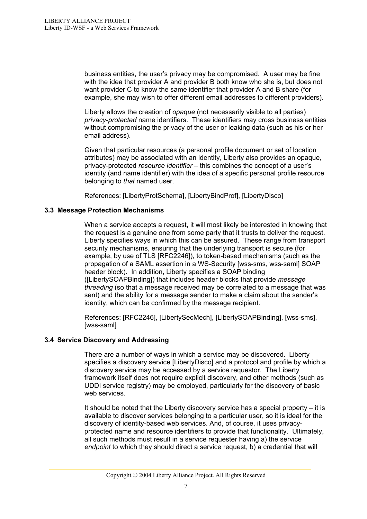<span id="page-6-0"></span>business entities, the user's privacy may be compromised. A user may be fine with the idea that provider A and provider B both know who she is, but does not want provider C to know the same identifier that provider A and B share (for example, she may wish to offer different email addresses to different providers).

Liberty allows the creation of *opaque* (not necessarily visible to all parties) *privacy-protected* name identifiers. These identifiers may cross business entities without compromising the privacy of the user or leaking data (such as his or her email address).

Given that particular resources (a personal profile document or set of location attributes) may be associated with an identity, Liberty also provides an opaque, privacy-protected *resource identifier* – this combines the concept of a user's identity (and name identifier) with the idea of a specific personal profile resource belonging to *that* named user.

References: [LibertyProtSchema], [LibertyBindProf], [LibertyDisco]

#### **3.3 Message Protection Mechanisms**

When a service accepts a request, it will most likely be interested in knowing that the request is a genuine one from some party that it trusts to deliver the request. Liberty specifies ways in which this can be assured. These range from transport security mechanisms, ensuring that the underlying transport is secure (for example, by use of TLS [RFC2246]), to token-based mechanisms (such as the propagation of a SAML assertion in a WS-Security [wss-sms, wss-saml] SOAP header block). In addition, Liberty specifies a SOAP binding ([LibertySOAPBinding]) that includes header blocks that provide *message threading* (so that a message received may be correlated to a message that was sent) and the ability for a message sender to make a claim about the sender's identity, which can be confirmed by the message recipient.

References: [RFC2246], [LibertySecMech], [LibertySOAPBinding], [wss-sms], [wss-saml]

#### **3.4 Service Discovery and Addressing**

There are a number of ways in which a service may be discovered. Liberty specifies a discovery service [LibertyDisco] and a protocol and profile by which a discovery service may be accessed by a service requestor. The Liberty framework itself does not require explicit discovery, and other methods (such as UDDI service registry) may be employed, particularly for the discovery of basic web services.

It should be noted that the Liberty discovery service has a special property  $-$  it is available to discover services belonging to a particular user, so it is ideal for the discovery of identity-based web services. And, of course, it uses privacyprotected name and resource identifiers to provide that functionality. Ultimately, all such methods must result in a service requester having a) the service *endpoint* to which they should direct a service request, b) a credential that will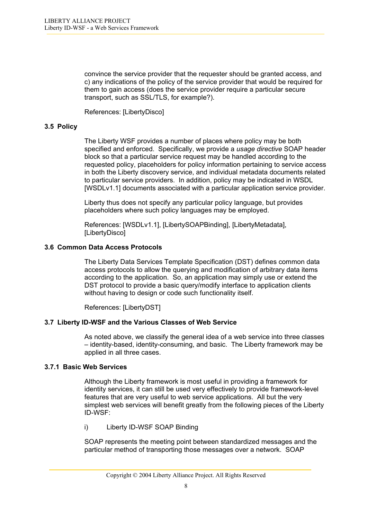<span id="page-7-0"></span>convince the service provider that the requester should be granted access, and c) any indications of the policy of the service provider that would be required for them to gain access (does the service provider require a particular secure transport, such as SSL/TLS, for example?).

References: [LibertyDisco]

#### **3.5 Policy**

The Liberty WSF provides a number of places where policy may be both specified and enforced. Specifically, we provide a *usage directive* SOAP header block so that a particular service request may be handled according to the requested policy, placeholders for policy information pertaining to service access in both the Liberty discovery service, and individual metadata documents related to particular service providers. In addition, policy may be indicated in WSDL [WSDLv1.1] documents associated with a particular application service provider.

Liberty thus does not specify any particular policy language, but provides placeholders where such policy languages may be employed.

References: [WSDLv1.1], [LibertySOAPBinding], [LibertyMetadata], [LibertyDisco]

#### **3.6 Common Data Access Protocols**

The Liberty Data Services Template Specification (DST) defines common data access protocols to allow the querying and modification of arbitrary data items according to the application. So, an application may simply use or extend the DST protocol to provide a basic query/modify interface to application clients without having to design or code such functionality itself.

References: [LibertyDST]

#### **3.7 Liberty ID-WSF and the Various Classes of Web Service**

As noted above, we classify the general idea of a web service into three classes – identity-based, identity-consuming, and basic. The Liberty framework may be applied in all three cases.

#### **3.7.1 Basic Web Services**

Although the Liberty framework is most useful in providing a framework for identity services, it can still be used very effectively to provide framework-level features that are very useful to web service applications. All but the very simplest web services will benefit greatly from the following pieces of the Liberty ID-WSF:

i) Liberty ID-WSF SOAP Binding

SOAP represents the meeting point between standardized messages and the particular method of transporting those messages over a network. SOAP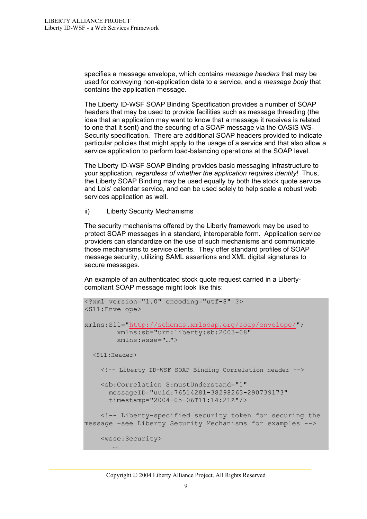specifies a message envelope, which contains *message headers* that may be used for conveying non-application data to a service, and a *message body* that contains the application message.

The Liberty ID-WSF SOAP Binding Specification provides a number of SOAP headers that may be used to provide facilities such as message threading (the idea that an application may want to know that a message it receives is related to one that it sent) and the securing of a SOAP message via the OASIS WS-Security specification. There are additional SOAP headers provided to indicate particular policies that might apply to the usage of a service and that also allow a service application to perform load-balancing operations at the SOAP level.

The Liberty ID-WSF SOAP Binding provides basic messaging infrastructure to your application, *regardless of whether the application requires identity*! Thus, the Liberty SOAP Binding may be used equally by both the stock quote service and Lois' calendar service, and can be used solely to help scale a robust web services application as well.

ii) Liberty Security Mechanisms

The security mechanisms offered by the Liberty framework may be used to protect SOAP messages in a standard, interoperable form. Application service providers can standardize on the use of such mechanisms and communicate those mechanisms to service clients. They offer standard profiles of SOAP message security, utilizing SAML assertions and XML digital signatures to secure messages.

An example of an authenticated stock quote request carried in a Libertycompliant SOAP message might look like this:

```
<?xml version="1.0" encoding="utf-8" ?> 
<S11:Envelope> 
xmlns:S11="http://schemas.xmlsoap.org/soap/envelope/"; 
         xmlns:sb="urn:liberty:sb:2003-08" 
         xmlns:wsse="…"> 
  <S11:Header>
     <!-- Liberty ID-WSF SOAP Binding Correlation header --> 
     <sb:Correlation S:mustUnderstand="1" 
       messageID="uuid:76514281-38298263-290739173" 
       timestamp="2004-05-06T11:14:21Z"/> 
     <!-- Liberty-specified security token for securing the 
message –see Liberty Security Mechanisms for examples --> 
     <wsse:Security> 
 …
```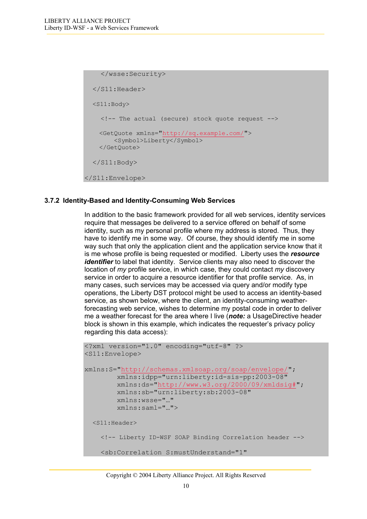```
 </wsse:Security> 
  \langle/S11:Header>
   <S11:Body>
     <!-- The actual (secure) stock quote request --> 
     <GetQuote xmlns="http://sq.example.com/"> 
         <Symbol>Liberty</Symbol> 
     </GetQuote> 
  \langle/S11:Body>
</S11:Envelope>
```
#### **3.7.2 Identity-Based and Identity-Consuming Web Services**

In addition to the basic framework provided for all web services, identity services require that messages be delivered to a service offered on behalf of some identity, such as my personal profile where my address is stored. Thus, they have to identify me in some way. Of course, they should identify me in some way such that only the application client and the application service know that it is me whose profile is being requested or modified. Liberty uses the *resource identifier* to label that identity. Service clients may also need to discover the location of *my* profile service, in which case, they could contact *my* discovery service in order to acquire a resource identifier for that profile service. As, in many cases, such services may be accessed via query and/or modify type operations, the Liberty DST protocol might be used to access an identity-based service, as shown below, where the client, an identity-consuming weatherforecasting web service, wishes to determine my postal code in order to deliver me a weather forecast for the area where I live (*note:* a UsageDirective header block is shown in this example, which indicates the requester's privacy policy regarding this data access):

```
<?xml version="1.0" encoding="utf-8" ?> 
<S11:Envelope> 
xmlns:S="http://schemas.xmlsoap.org/soap/envelope/";
         xmlns:idpp="urn:liberty:id-sis-pp:2003-08" 
         xmlns:ds="http://www.w3.org/2000/09/xmldsig#"; 
         xmlns:sb="urn:liberty:sb:2003-08" 
         xmlns:wsse="…" 
         xmlns:saml="…"> 
  <S11:Header>
     <!-- Liberty ID-WSF SOAP Binding Correlation header --> 
     <sb:Correlation S:mustUnderstand="1"
```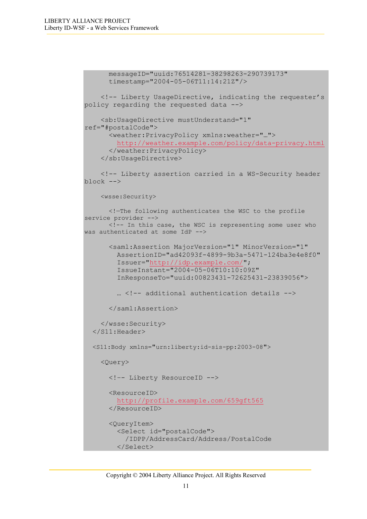```
 messageID="uuid:76514281-38298263-290739173" 
       timestamp="2004-05-06T11:14:21Z"/> 
     <!-- Liberty UsageDirective, indicating the requester's 
policy regarding the requested data --> 
     <sb:UsageDirective mustUnderstand="1" 
ref="#postalCode"> 
       <weather:PrivacyPolicy xmlns:weather="…"> 
          http://weather.example.com/policy/data-privacy.html
       </weather:PrivacyPolicy> 
     </sb:UsageDirective> 
     <!-- Liberty assertion carried in a WS-Security header 
block --> 
     <wsse:Security>
       <!—The following authenticates the WSC to the profile 
service provider -->
       <!-- In this case, the WSC is representing some user who 
was authenticated at some IdP -->
       <saml:Assertion MajorVersion="1" MinorVersion="1" 
         AssertionID="ad42093f-4899-9b3a-5471-124ba3e4e8f0" 
         Issuer="http://idp.example.com/"; 
         IssueInstant="2004-05-06T10:10:09Z" 
         InResponseTo="uuid:00823431-72625431-23839056"> 
         … <!-- additional authentication details --> 
       </saml:Assertion> 
     </wsse:Security> 
   </S11:Header> 
   <S11:Body xmlns="urn:liberty:id-sis-pp:2003-08">
     <Query> 
       <!–- Liberty ResourceID --> 
       <ResourceID> 
         http://profile.example.com/659gft565
       </ResourceID> 
       <QueryItem> 
          <Select id="postalCode"> 
            /IDPP/AddressCard/Address/PostalCode 
         </Select>
```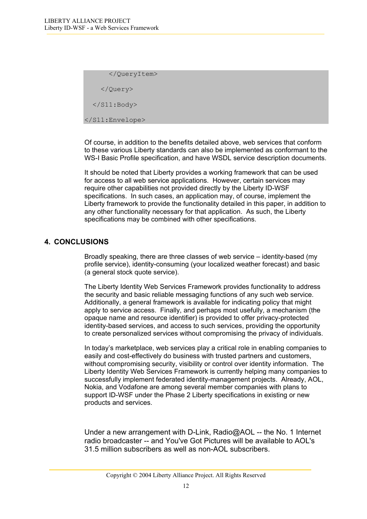<span id="page-11-0"></span> </QueryItem> </Query>  $\langle$ /S11:Body> </S11:Envelope>

Of course, in addition to the benefits detailed above, web services that conform to these various Liberty standards can also be implemented as conformant to the WS-I Basic Profile specification, and have WSDL service description documents.

It should be noted that Liberty provides a working framework that can be used for access to all web service applications. However, certain services may require other capabilities not provided directly by the Liberty ID-WSF specifications. In such cases, an application may, of course, implement the Liberty framework to provide the functionality detailed in this paper, in addition to any other functionality necessary for that application. As such, the Liberty specifications may be combined with other specifications.

### **4. CONCLUSIONS**

Broadly speaking, there are three classes of web service – identity-based (my profile service), identity-consuming (your localized weather forecast) and basic (a general stock quote service).

The Liberty Identity Web Services Framework provides functionality to address the security and basic reliable messaging functions of any such web service. Additionally, a general framework is available for indicating policy that might apply to service access. Finally, and perhaps most usefully, a mechanism (the opaque name and resource identifier) is provided to offer privacy-protected identity-based services, and access to such services, providing the opportunity to create personalized services without compromising the privacy of individuals.

In today's marketplace, web services play a critical role in enabling companies to easily and cost-effectively do business with trusted partners and customers, without compromising security, visibility or control over identity information. The Liberty Identity Web Services Framework is currently helping many companies to successfully implement federated identity-management projects. Already, AOL, Nokia, and Vodafone are among several member companies with plans to support ID-WSF under the Phase 2 Liberty specifications in existing or new products and services.

Under a new arrangement with D-Link, Radio@AOL -- the No. 1 Internet radio broadcaster -- and You've Got Pictures will be available to AOL's 31.5 million subscribers as well as non-AOL subscribers.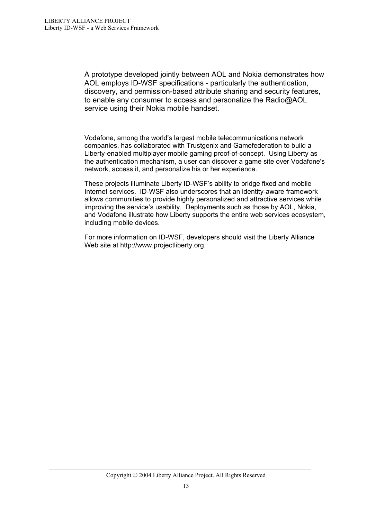A prototype developed jointly between AOL and Nokia demonstrates how AOL employs ID-WSF specifications - particularly the authentication, discovery, and permission-based attribute sharing and security features, to enable any consumer to access and personalize the Radio@AOL service using their Nokia mobile handset.

Vodafone, among the world's largest mobile telecommunications network companies, has collaborated with Trustgenix and Gamefederation to build a Liberty-enabled multiplayer mobile gaming proof-of-concept. Using Liberty as the authentication mechanism, a user can discover a game site over Vodafone's network, access it, and personalize his or her experience.

These projects illuminate Liberty ID-WSF's ability to bridge fixed and mobile Internet services. ID-WSF also underscores that an identity-aware framework allows communities to provide highly personalized and attractive services while improving the service's usability. Deployments such as those by AOL, Nokia, and Vodafone illustrate how Liberty supports the entire web services ecosystem, including mobile devices.

For more information on ID-WSF, developers should visit the Liberty Alliance Web site at [http://www.projectliberty.org.](http://www.projectliberty.org/)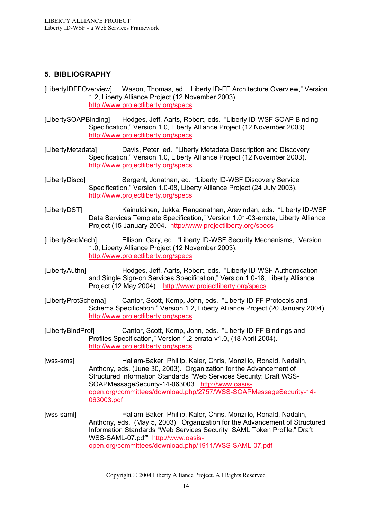## <span id="page-13-0"></span>**5. BIBLIOGRAPHY**

- [LibertyIDFFOverview] Wason, Thomas, ed. "Liberty ID-FF Architecture Overview," Version 1.2, Liberty Alliance Project (12 November 2003). <http://www.projectliberty.org/specs>
- [LibertySOAPBinding] Hodges, Jeff, Aarts, Robert, eds. "Liberty ID-WSF SOAP Binding Specification," Version 1.0, Liberty Alliance Project (12 November 2003). <http://www.projectliberty.org/specs>
- [LibertyMetadata] Davis, Peter, ed. "Liberty Metadata Description and Discovery Specification," Version 1.0, Liberty Alliance Project (12 November 2003). <http://www.projectliberty.org/specs>
- [LibertyDisco] Sergent, Jonathan, ed. "Liberty ID-WSF Discovery Service Specification," Version 1.0-08, Liberty Alliance Project (24 July 2003). <http://www.projectliberty.org/specs>
- [LibertyDST] Kainulainen, Jukka, Ranganathan, Aravindan, eds. "Liberty ID-WSF Data Services Template Specification," Version 1.01-03-errata, Liberty Alliance Project (15 January 2004. <http://www.projectliberty.org/specs>
- [LibertySecMech] Ellison, Gary, ed. "Liberty ID-WSF Security Mechanisms," Version 1.0, Liberty Alliance Project (12 November 2003). <http://www.projectliberty.org/specs>
- [LibertyAuthn] Hodges, Jeff, Aarts, Robert, eds. "Liberty ID-WSF Authentication and Single Sign-on Services Specification," Version 1.0-18, Liberty Alliance Project (12 May 2004). <http://www.projectliberty.org/specs>
- [LibertyProtSchema] Cantor, Scott, Kemp, John, eds. "Liberty ID-FF Protocols and Schema Specification," Version 1.2, Liberty Alliance Project (20 January 2004). <http://www.projectliberty.org/specs>
- [LibertyBindProf] Cantor, Scott, Kemp, John, eds. "Liberty ID-FF Bindings and Profiles Specification," Version 1.2-errata-v1.0, (18 April 2004). <http://www.projectliberty.org/specs>
- [wss-sms] Hallam-Baker, Phillip, Kaler, Chris, Monzillo, Ronald, Nadalin, Anthony, eds. (June 30, 2003). Organization for the Advancement of Structured Information Standards "Web Services Security: Draft WSS-SOAPMessageSecurity-14-063003" [http://www.oasis](http://www.oasis-open.org/committees/download.php/2757/WSS-SOAPMessageSecurity-14-063003.pdf)[open.org/committees/download.php/2757/WSS-SOAPMessageSecurity-14-](http://www.oasis-open.org/committees/download.php/2757/WSS-SOAPMessageSecurity-14-063003.pdf) [063003.pdf](http://www.oasis-open.org/committees/download.php/2757/WSS-SOAPMessageSecurity-14-063003.pdf)
- [wss-saml] Hallam-Baker, Phillip, Kaler, Chris, Monzillo, Ronald, Nadalin, Anthony, eds. (May 5, 2003). Organization for the Advancement of Structured Information Standards "Web Services Security: SAML Token Profile," Draft WSS-SAML-07.pdf" [http://www.oasis](http://www.oasis-open.org/committees/download.php/1911/WSS-SAML-07.pdf)[open.org/committees/download.php/1911/WSS-SAML-07.pdf](http://www.oasis-open.org/committees/download.php/1911/WSS-SAML-07.pdf)